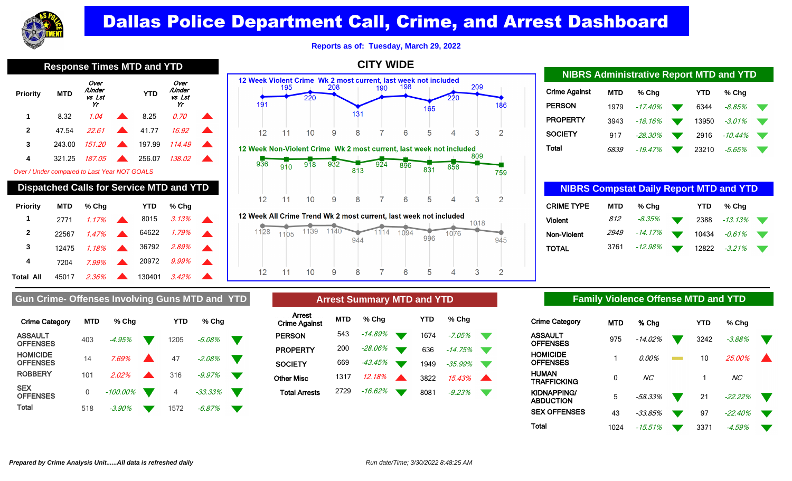

**Reports as of: Tuesday, March 29, 2022**

**CITY WIDE**

**Priority MTD** Over /Under vs Lst Yr  **YTD** Over /Under vs Lst Yr **1** 8.32 1.04 8.25 0.70 **2** 47.54 22.61 **41.77 16.92 3** 243.00 151.20 **197.99 114.49 4** 321.25 187.05 256.07 138.02

### Over / Under compared to Last Year NOT GOALS

### **Dispatched Calls for Service MTD and YTD**

| <b>Priority</b>  | MTD   | % Chq                   | <b>YTD</b> | % Cha       |  |
|------------------|-------|-------------------------|------------|-------------|--|
| 1                | 2771  | $1.17\%$                | 8015       | $3.13\%$    |  |
| $\mathbf{2}$     | 22567 | $1.47\%$                |            | 64622 1.79% |  |
| 3                | 12475 | $1.18\%$                |            | 36792 2.89% |  |
| 4                | 7204  | $7.99\%$                |            | 20972 9.99% |  |
| <b>Total All</b> | 45017 | $2.36\%$ $\blacksquare$ | 130401     | $3.42\%$    |  |

### 12 Week Violent Crime Wk 2 most current, last week not included 209 195 208 198 190 220 220 191 186 165 131  $12$ 8 5 3  $\overline{2}$  $11$  $10$ 9 6 12 Week Non-Violent Crime Wk 2 most current, last week not included 809 910 918  $9\overline{3}6$  $932$  $9\overline{2}4$  $8\overline{9}6$  $8\overline{5}6$ 831 813 759 5  $\overline{2}$  $12$  $11$  $10$ 9 8 7 6 3

12 Week All Crime Trend Wk 2 most current, last week not included



| <b>NIBRS Administrative Report MTD and YTD</b> |            |            |             |            |           |                   |  |  |  |
|------------------------------------------------|------------|------------|-------------|------------|-----------|-------------------|--|--|--|
| Crime Against                                  | <b>MTD</b> | % Cha      |             | <b>YTD</b> | % Cha     |                   |  |  |  |
| PERSON                                         | 1979       | $-17.40%$  |             | 6344       | -8.85%    | ▼                 |  |  |  |
| PROPERTY                                       | 3943       | $-18.16\%$ | <b>Note</b> | 13950      | $-3.01\%$ | <b>The Second</b> |  |  |  |
| SOCIETY                                        | 917        | $-28.30\%$ | w           | 2916       | -10.44%   | w                 |  |  |  |
| Total                                          | 6839       | -19.47%    | N. Z        | 23210      | -5.65%    |                   |  |  |  |

| <b>NIBRS Compstat Daily Report MTD and YTD</b> |             |           |    |            |            |   |  |  |  |
|------------------------------------------------|-------------|-----------|----|------------|------------|---|--|--|--|
| <b>CRIME TYPE</b>                              | <b>MTD</b>  | % Cha     |    | <b>YTD</b> | % Cha      |   |  |  |  |
| <b>Violent</b>                                 | 812         | $-8.35\%$ | o. | 2388       | $-13.13\%$ |   |  |  |  |
| Non-Violent                                    | <i>2949</i> | $-14.17%$ |    | 10434      | -0.61%     | w |  |  |  |
| TOTAL                                          | 3761        | -12.98%   |    | 12822      | $-3.21\%$  |   |  |  |  |

### Gun Crime- Offenses Involving Guns MTD and YTD **Arrest Summary MTD and YTD Family Violence Offense MTD and YTD**

| <b>Crime Category</b>              | <b>MTD</b> | $%$ Chq     | YTD  | % Cha      |  |
|------------------------------------|------------|-------------|------|------------|--|
| <b>ASSAULT</b><br><b>OFFENSES</b>  | 403        | -4.95%      | 1205 | $-6.08\%$  |  |
| <b>HOMICIDE</b><br><b>OFFENSES</b> | 14         | 7.69%       | 47   | $-2.08%$   |  |
| <b>ROBBERY</b>                     | 101        | 2.02%       | 316  | $-9.97%$   |  |
| <b>SEX</b><br><b>OFFENSES</b>      | 0          | $-100.00\%$ | 4    | $-33.33\%$ |  |
| Total                              | 518        | $-3.90\%$   | 1572 | $-6.87\%$  |  |

| <b>Arrest Summary MTD and YTD</b> |            |         |  |      |          |  |  |  |  |
|-----------------------------------|------------|---------|--|------|----------|--|--|--|--|
| Arrest<br><b>Crime Against</b>    | <b>MTD</b> | % Chq   |  | YTD  | % Cha    |  |  |  |  |
| <b>PERSON</b>                     | 543        | -14.89% |  | 1674 | -7.05%   |  |  |  |  |
| <b>PROPERTY</b>                   | 200        | -28.06% |  | 636  | -14.75%  |  |  |  |  |
| <b>SOCIETY</b>                    | 669        | -43.45% |  | 1949 | -35.99%  |  |  |  |  |
| <b>Other Misc</b>                 | 1317       | 12.18%  |  | 3822 | 1543%    |  |  |  |  |
| <b>Total Arrests</b>              | 2729       | -16.62% |  | 8081 | $-9.23%$ |  |  |  |  |

| <b>Crime Category</b>    | <b>MTD</b> | % Cha     | <b>YTD</b> | % Cha          |  |
|--------------------------|------------|-----------|------------|----------------|--|
| ASSAULT<br>OFFENSES      | 975        | $-14.02%$ | 3242       | $-3.88%$       |  |
| HOMICIDE<br>OFFENSES     | 1          | 0.00%     | 10         | 25.00%         |  |
| HUMAN<br>TRAFFICKING     | 0          | NС        |            | NC <sub></sub> |  |
| KIDNAPPING/<br>ABDUCTION | 5          | $-58.33%$ | 21         | $-22.22%$      |  |
| <b>SEX OFFENSES</b>      | 43         | $-33.85%$ | 97         | $-22.40%$      |  |
| Total                    | 1024       | $-15.51%$ | 3371       | $-4.59%$       |  |

**Response Times MTD and YTD**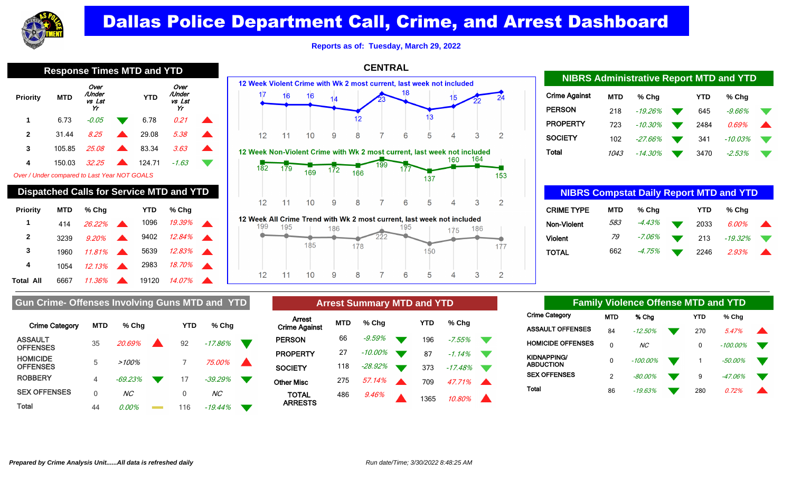

**Reports as of: Tuesday, March 29, 2022**

**CENTRAL**

| <b>Response Times MTD and YTD</b>            |                                                 |                                |  |            |                                |  |  |  |  |  |
|----------------------------------------------|-------------------------------------------------|--------------------------------|--|------------|--------------------------------|--|--|--|--|--|
| <b>Priority</b>                              | <b>MTD</b>                                      | Over<br>/Under<br>vs Lst<br>Yr |  | <b>YTD</b> | Over<br>/Under<br>vs Lst<br>Yr |  |  |  |  |  |
| 1                                            | 6.73                                            | -0.05                          |  | 6.78       | 0.21                           |  |  |  |  |  |
| 2                                            | 31.44                                           | 8 25                           |  | 29.08      | 5.38                           |  |  |  |  |  |
| 3                                            | 105.85                                          | 25.08                          |  | 83.34      | 3.63                           |  |  |  |  |  |
| 4                                            | 150.03                                          | 32.25                          |  | 124.71     | $-1.63$                        |  |  |  |  |  |
| Over / Under compared to Last Year NOT GOALS |                                                 |                                |  |            |                                |  |  |  |  |  |
|                                              | <b>Dispatched Calls for Service MTD and YTD</b> |                                |  |            |                                |  |  |  |  |  |
| <b>Priority</b>                              | MTD                                             | % Cha                          |  | YTD        | % Cha                          |  |  |  |  |  |





| <b>NIBRS Administrative Report MTD and YTD</b> |            |           |  |            |           |  |  |  |  |
|------------------------------------------------|------------|-----------|--|------------|-----------|--|--|--|--|
| <b>Crime Against</b>                           | <b>MTD</b> | % Cha     |  | <b>YTD</b> | % Cha     |  |  |  |  |
| <b>PERSON</b>                                  | 218        | $-19.26%$ |  | 645        | $-9.66\%$ |  |  |  |  |
| <b>PROPERTY</b>                                | 723        | $-10.30%$ |  | 2484       | 0.69%     |  |  |  |  |
| <b>SOCIETY</b>                                 | 102        | $-27.66%$ |  | 341        | $-10.03%$ |  |  |  |  |
| Total                                          | 1043       | $-14.30%$ |  | 3470       | $-2.53\%$ |  |  |  |  |

| <b>NIBRS Compstat Daily Report MTD and YTD</b> |            |        |  |      |            |  |  |  |
|------------------------------------------------|------------|--------|--|------|------------|--|--|--|
| <b>CRIME TYPE</b>                              | <b>MTD</b> | % Cha  |  | YTD  | % Cha      |  |  |  |
| Non-Violent                                    | 583        | -4.43% |  | 2033 | 6.00%      |  |  |  |
| <b>Violent</b>                                 | 79         | -7.06% |  | 213  | $-19.32\%$ |  |  |  |
| TOTAL                                          | 662        | -4.75% |  | 2246 | 2.93%      |  |  |  |

## **Gun Crime- Offenses Involving Guns MTD and YTD**

**1** 414 26.22% 1096 19.39% **2** 3239 9.20% 9402 12.84%

Total All 6667 11.36% **19120 14.07%** 

**3** 1960 11.81% 5639 12.83% **4** 1054 12.13% 2983 18.70%

| <b>Crime Category</b>              | MTD | % Chq          | YTD | $%$ Chq   |  |
|------------------------------------|-----|----------------|-----|-----------|--|
| <b>ASSAULT</b><br><b>OFFENSES</b>  | 35  | $20.69\%$      | 92  | $-17.86%$ |  |
| <b>HOMICIDE</b><br><b>OFFENSES</b> | 5   | $>100\%$       |     | 75.00%    |  |
| <b>ROBBERY</b>                     | 4   | $-69.23%$      | 17  | $-39.29%$ |  |
| <b>SEX OFFENSES</b>                | U   | NC <sub></sub> | 0   | NC.       |  |
| Total                              | 44  | 0.00%          | 116 | -19.44%   |  |

| <b>Arrest Summary MTD and YTD</b> |            |            |  |      |           |  |  |  |  |
|-----------------------------------|------------|------------|--|------|-----------|--|--|--|--|
| Arrest<br><b>Crime Against</b>    | <b>MTD</b> | % Chq      |  | YTD  | % Cha     |  |  |  |  |
| <b>PERSON</b>                     | 66         | -9.59%     |  | 196  | $-7.55\%$ |  |  |  |  |
| <b>PROPERTY</b>                   | 27         | -10.00%    |  | 87   | $-1.14%$  |  |  |  |  |
| <b>SOCIETY</b>                    | 118        | $-28.92\%$ |  | 373  | $-17.48%$ |  |  |  |  |
| <b>Other Misc</b>                 | 275        | 57.14%     |  | 709  | 47 71%    |  |  |  |  |
| TOTAL<br><b>ARRESTS</b>           | 486        | 9.46%      |  | 1365 | 10.80%    |  |  |  |  |

| <b>Family Violence Offense MTD and YTD</b> |                          |                |                 |  |     |             |  |  |
|--------------------------------------------|--------------------------|----------------|-----------------|--|-----|-------------|--|--|
| Crime Category                             |                          | MTD            | % Cha           |  | YTD | % Chq       |  |  |
|                                            | ASSAULT OFFENSES         | 84             | $-12.50%$       |  | 270 | 547%        |  |  |
|                                            | <b>HOMICIDE OFFENSES</b> | 0              | NC <sub>1</sub> |  | 0   | $-100.00\%$ |  |  |
| KIDNAPPING/<br>ABDUCTION                   |                          | 0              | $-100.00\%$     |  |     | $-50.00%$   |  |  |
| <b>SEX OFFENSES</b>                        |                          | $\mathfrak{p}$ | $-80.00\%$      |  | 9   | $-47.06%$   |  |  |
| Total                                      |                          | 86             | $-19.63%$       |  | 280 | በ 72%       |  |  |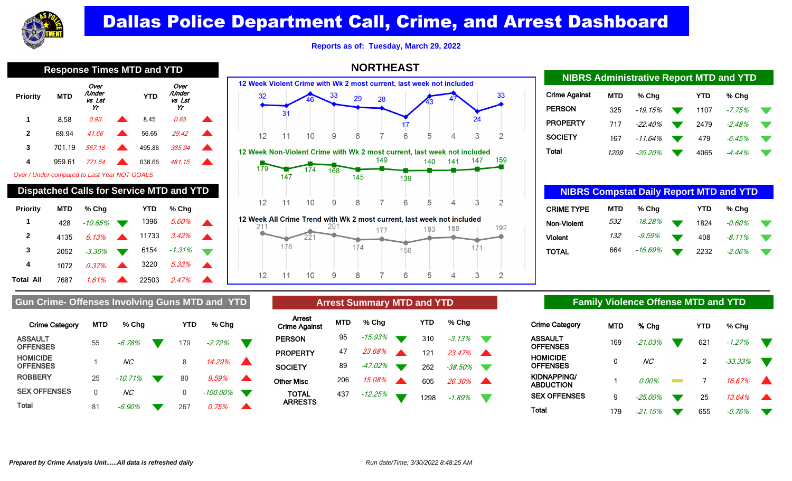

**Reports as of: Tuesday, March 29, 2022**

**NORTHEAST**

| 1178891<br>אווא שוויו טטוווו<br>ш<br>. . |            |                                |  |            |                                |  |  |  |  |
|------------------------------------------|------------|--------------------------------|--|------------|--------------------------------|--|--|--|--|
| <b>Priority</b>                          | <b>MTD</b> | Over<br>/Under<br>vs Lst<br>Yr |  | <b>YTD</b> | Over<br>/Under<br>vs Lst<br>Yr |  |  |  |  |
| 1                                        | 8.58       | 0.93                           |  | 8.45       | 0.65                           |  |  |  |  |
| $\mathbf{2}$                             | 69.94      | 41.66                          |  | 56.65      | 29.42                          |  |  |  |  |
| 3                                        | 701.19     | 567.18                         |  | 495.86     | 385.94                         |  |  |  |  |
| 4                                        | 959.61     | 771.54                         |  | 638.66     | 481.15                         |  |  |  |  |
|                                          |            |                                |  |            |                                |  |  |  |  |

Over / Under compared to Last Year NOT GOALS

| <b>Dispatched Calls for Service MTD and YTD</b> |            |          |                  |       |        |  |  |  |  |
|-------------------------------------------------|------------|----------|------------------|-------|--------|--|--|--|--|
| Priority                                        | <b>MTD</b> | % Cha    |                  | YTD   | % Cha  |  |  |  |  |
| 1                                               | 428        | -10.65%  |                  | 1396  | 5.60%  |  |  |  |  |
| $\mathbf{2}$                                    | 4135       | 6.13%    |                  | 11733 | 3.42%  |  |  |  |  |
| 3                                               | 2052       | $-3.30%$ |                  | 6154  | -1.31% |  |  |  |  |
| 4                                               | 1072       | 0.37%    | $\blacktriangle$ | 3220  | 5.33%  |  |  |  |  |
| Total All                                       | 7687       | 1.61%    |                  | 22503 | 2.47%  |  |  |  |  |





| <u>MONO AUTHINISTICITY NEPOLEMENT CHUI E LU</u> |             |           |  |            |          |    |  |  |  |
|-------------------------------------------------|-------------|-----------|--|------------|----------|----|--|--|--|
| Crime Against                                   | <b>MTD</b>  | $%$ Chq   |  | <b>YTD</b> | $%$ Chq  |    |  |  |  |
| <b>PERSON</b>                                   | 325         | -19.15%   |  | 1107       | $-7.75%$ |    |  |  |  |
| <b>PROPERTY</b>                                 | 717         | $-22.40%$ |  | 2479       | $-2.48%$ |    |  |  |  |
| <b>SOCIETY</b>                                  | 167         | -11.64%   |  | 479        | $-6.45%$ | v. |  |  |  |
| <b>Total</b>                                    | <i>1209</i> | -20.20%   |  | 4065       | -4.44%   |    |  |  |  |

**NIBRS Administrative Report MTD and YTD**

| <b>NIBRS Compstat Daily Report MTD and YTD</b> |            |         |  |            |           |  |  |  |
|------------------------------------------------|------------|---------|--|------------|-----------|--|--|--|
| <b>CRIME TYPE</b>                              | <b>MTD</b> | % Chq   |  | <b>YTD</b> | % Cha     |  |  |  |
| Non-Violent                                    | 532        | -18.28% |  | 1824       | $-0.60\%$ |  |  |  |
| <b>Violent</b>                                 | 132        | -9.59%  |  | 408        | $-8.11\%$ |  |  |  |
| TOTAL                                          | 664        | -16.69% |  | 2232       | $-2.06\%$ |  |  |  |

### Gun Crime- Offenses Involving Guns MTD and YTD **Arrest Summary MTD and YTD Family Violence Offense MTD and YTD**

| <b>Crime Category</b>              | <b>MTD</b> | % Chq          | YTD | $%$ Chq  |  |
|------------------------------------|------------|----------------|-----|----------|--|
| <b>ASSAULT</b><br><b>OFFENSES</b>  | 55         | $-6.78%$       | 179 | $-2.72%$ |  |
| <b>HOMICIDE</b><br><b>OFFENSES</b> |            | NC <sub></sub> | 8   | 14.29%   |  |
| <b>ROBBERY</b>                     | 25         | $-10.71%$      | 80  | 9.59%    |  |
| <b>SEX OFFENSES</b>                | 0          | ΝC             | 0   | -100.00% |  |
| Total                              | 81         | -6.90%         | 267 | 0.75%    |  |

|                                | Allest Sullillialy MID and TTD |            |  |            |        |  |  |  |
|--------------------------------|--------------------------------|------------|--|------------|--------|--|--|--|
| Arrest<br><b>Crime Against</b> | <b>MTD</b>                     | % Cha      |  | <b>YTD</b> | % Chq  |  |  |  |
| <b>PERSON</b>                  | 95                             | $-15.93\%$ |  | 310        | -3.13% |  |  |  |
| <b>PROPERTY</b>                | 47                             | 23.68%     |  | 121        | 23.47% |  |  |  |

**Arrest Summary MTD and YTD**

437 - 12.25% 1298 - 1.89%

**SOCIETY** 89 -47.02% 262 -38.50% Other Misc 206 15.08% 605 26.30%

TOTAL ARRESTS

| Crime Category           | <b>MTD</b> | % Cha      | YTD | $%$ Chq   |  |
|--------------------------|------------|------------|-----|-----------|--|
| ASSAULT<br>OFFENSES      | 169        | $-21.03%$  | 621 | $-1.27%$  |  |
| HOMICIDE<br>OFFENSES     | 0          | NС         | 2   | $-33.33%$ |  |
| KIDNAPPING/<br>ABDUCTION |            | 0.00%      | 7   | 16.67%    |  |
| <b>SEX OFFENSES</b>      | 9          | $-25.00\%$ | 25  | 13.64%    |  |
| Total                    | 179        | -21.15%    | 655 | -0.76%    |  |

## **Response Times MTD and YTD**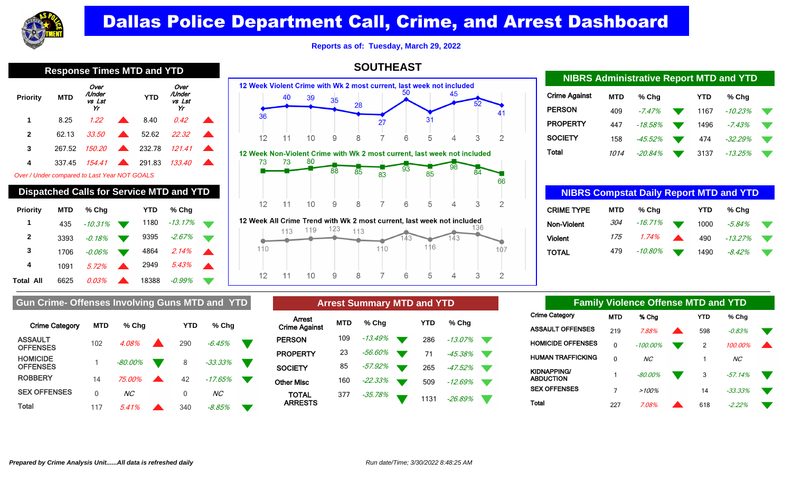

**Reports as of: Tuesday, March 29, 2022**

| <b>Response Times MTD and YTD</b>            |            |                                |  |            |                                                 |  |  |  |  |  |
|----------------------------------------------|------------|--------------------------------|--|------------|-------------------------------------------------|--|--|--|--|--|
| <b>Priority</b>                              | <b>MTD</b> | Over<br>/Under<br>vs Lst<br>Yr |  | <b>YTD</b> | Over<br>/Under<br>vs Lst<br>Yr                  |  |  |  |  |  |
| 1                                            | 8.25       | 1.22                           |  | 8.40       | 0.42                                            |  |  |  |  |  |
| $\mathbf{2}$                                 | 62.13      | 33.50                          |  | 52.62      | 22.32                                           |  |  |  |  |  |
| 3                                            | 267.52     | 150.20                         |  | 232.78     | 121.41                                          |  |  |  |  |  |
| 4                                            | 337.45     | 154.41                         |  | 291.83     | 133.40                                          |  |  |  |  |  |
| Over / Under compared to Last Year NOT GOALS |            |                                |  |            |                                                 |  |  |  |  |  |
|                                              |            |                                |  |            | <b>Dispatched Calls for Service MTD and YTD</b> |  |  |  |  |  |
| <b>Priority</b>                              | MTD        | $%$ Chg                        |  | YTD        | % Chg                                           |  |  |  |  |  |
| 1                                            | 435        | $-10.31%$                      |  | 1180       | $-13.17%$                                       |  |  |  |  |  |
| $\mathbf{2}$                                 | 3393       | $-0.18%$                       |  | 9395       | $-2.67%$                                        |  |  |  |  |  |

**SOUTHEAST**



| <b>NIBRS Administrative Report MTD and YTD</b> |            |            |  |            |           |  |  |  |  |
|------------------------------------------------|------------|------------|--|------------|-----------|--|--|--|--|
| <b>Crime Against</b>                           | <b>MTD</b> | % Cha      |  | <b>YTD</b> | % Cha     |  |  |  |  |
| <b>PERSON</b>                                  | 409        | $-7.47%$   |  | 1167       | $-10.23%$ |  |  |  |  |
| <b>PROPERTY</b>                                | 447        | $-18.58\%$ |  | 1496       | $-7.43%$  |  |  |  |  |
| <b>SOCIETY</b>                                 | 158        | $-45.52%$  |  | 474        | $-32.29%$ |  |  |  |  |
| Total                                          | 1014       | $-20.84%$  |  | 3137       | $-13.25%$ |  |  |  |  |

| <b>NIBRS Compstat Daily Report MTD and YTD</b> |            |         |  |      |           |  |  |  |  |
|------------------------------------------------|------------|---------|--|------|-----------|--|--|--|--|
| <b>CRIME TYPE</b>                              | <b>MTD</b> | % Cha   |  | YTD  | % Cha     |  |  |  |  |
| Non-Violent                                    | 304        | -16.71% |  | 1000 | $-5.84%$  |  |  |  |  |
| <b>Violent</b>                                 | 175        | 1.74%   |  | 490  | $-13.27%$ |  |  |  |  |
| TOTAL                                          | 479        | -10.80% |  | 1490 | $-8.42\%$ |  |  |  |  |

| <b>Crime Category</b>              | <b>MTD</b> | $%$ Chq       | YTD | % Cha      |  |
|------------------------------------|------------|---------------|-----|------------|--|
| <b>ASSAULT</b><br><b>OFFENSES</b>  | 102        | 4.08%         | 290 | $-6.45%$   |  |
| <b>HOMICIDE</b><br><b>OFFENSES</b> |            | -80.00%       | 8   | $-33.33\%$ |  |
| <b>ROBBERY</b>                     | 14         | <i>75.00%</i> | 42  | $-17.65%$  |  |
| <b>SEX OFFENSES</b>                | 0          | NC            | 0   | NC         |  |

**Gun Crime- Offenses Involving Guns MTD and YTD** 

**Total 117**  $5.41\%$  **340**  $-8.85\%$ 

| <b>Arrest Summary MTD and YTD</b> |            |           |  |      |           |  |  |  |  |  |
|-----------------------------------|------------|-----------|--|------|-----------|--|--|--|--|--|
| Arrest<br><b>Crime Against</b>    | <b>MTD</b> | % Chq     |  | YTD  | % Cha     |  |  |  |  |  |
| <b>PERSON</b>                     | 109        | -13.49%   |  | 286  | $-13.07%$ |  |  |  |  |  |
| <b>PROPERTY</b>                   | 23         | -56.60%   |  | 71   | $-45.38%$ |  |  |  |  |  |
| <b>SOCIETY</b>                    | 85         | -57.92%   |  | 265  | -47.52%   |  |  |  |  |  |
| <b>Other Misc</b>                 | 160        | $-22.33%$ |  | 509  | -12.69%   |  |  |  |  |  |
| <b>TOTAL</b><br><b>ARRESTS</b>    | 377        | -35.78%   |  | 1131 | -26.89%   |  |  |  |  |  |

 $\overline{7}$ 

5

 $\Delta$ 

6

3

 $\overline{2}$ 

|       |                          |     | <b>Family Violence Offense MTD and YTD</b> |            |            |                 |
|-------|--------------------------|-----|--------------------------------------------|------------|------------|-----------------|
|       | Crime Category           | MTD | % Cha                                      | <b>YTD</b> | $%$ Chg    |                 |
|       | <b>ASSAULT OFFENSES</b>  | 219 | 788%                                       | 598        | $-0.83%$   |                 |
|       | <b>HOMICIDE OFFENSES</b> | 0   | $-100.00\%$                                | 2          | 100.00%    | $\blacklozenge$ |
|       | HUMAN TRAFFICKING        | 0   | N <sub>C</sub>                             | 1          | <b>NC</b>  |                 |
|       | KIDNAPPING/<br>ABDUCTION | 1   | $-80.00%$                                  | 3          | $-57.14%$  |                 |
|       | <b>SEX OFFENSES</b>      | 7   | >100%                                      | 14         | $-33.33\%$ |                 |
| Total |                          | 227 | 708%                                       | 618        | $-2.22%$   |                 |

| red to Last Year NOT GOALS           |            |           |                          |  |
|--------------------------------------|------------|-----------|--------------------------|--|
| <b>Calls for Service MTD and YTD</b> |            |           |                          |  |
| % Cha                                | <b>YTD</b> | % Cha     | 12                       |  |
| $-10.31%$                            | 1180       | -13.17%   | <b>12 Week All Crime</b> |  |
| -0.18%                               | 9395       | $-2.67\%$ |                          |  |

 $12$ 

 $11$ 

 $10$ 

9

8

**Total All** 6625 0.03% **18388** -0.99%

**3** 1706 -0.06% 4864 2.14% **4** 1091 5.72% 2949 5.43%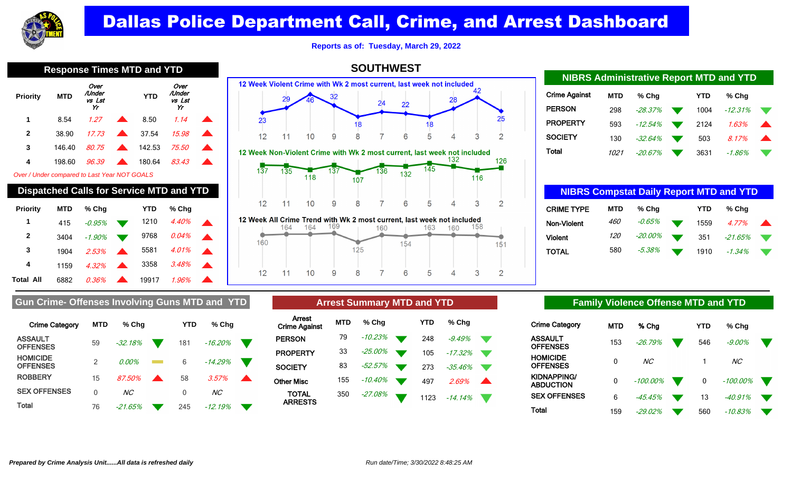

**Reports as of: Tuesday, March 29, 2022**

**SOUTHWEST**

| <b>Response Times MTD and YTD</b> |            |                                |                  |            |                                |  |  |  |  |  |  |
|-----------------------------------|------------|--------------------------------|------------------|------------|--------------------------------|--|--|--|--|--|--|
| Priority                          | <b>MTD</b> | Over<br>/Under<br>vs Lst<br>Yr |                  | <b>YTD</b> | Over<br>/Under<br>vs Lst<br>Yr |  |  |  |  |  |  |
| 1                                 | 8.54       | 1.27                           |                  | 8.50       | 1.14                           |  |  |  |  |  |  |
| $\mathbf{2}$                      | 38.90      | 17.73                          |                  | 37.54      | 15.98                          |  |  |  |  |  |  |
| 3                                 | 146.40     | 80.75                          | $\blacktriangle$ | 142.53     | 75.50                          |  |  |  |  |  |  |
| 4                                 | 198.60     | 96.39                          |                  | 180.64     | 83.43                          |  |  |  |  |  |  |
|                                   |            |                                |                  |            |                                |  |  |  |  |  |  |

Over / Under compared to Last Year NOT GOALS

| <b>Dispatched Calls for Service MTD and YTD</b> |            |           |  |       |       |  |  |  |  |  |  |
|-------------------------------------------------|------------|-----------|--|-------|-------|--|--|--|--|--|--|
| Priority                                        | <b>MTD</b> | % Cha     |  | YTD   | % Cha |  |  |  |  |  |  |
| 1                                               | 415        | $-0.95%$  |  | 1210  | 4.40% |  |  |  |  |  |  |
| $\mathbf{2}$                                    | 3404       | $-1.90\%$ |  | 9768  | 0.04% |  |  |  |  |  |  |
| 3                                               | 1904       | 2.53%     |  | 5581  | 4.01% |  |  |  |  |  |  |
| 4                                               | 1159       | 4.32%     |  | 3358  | 3.48% |  |  |  |  |  |  |
| Total All                                       | 6882       | 0.36%     |  | 19917 | 1.96% |  |  |  |  |  |  |







12 Week All Crime Trend with Wk 2 most current, last week not included 164 164 169 158 163 160 160 160 154 151  $125$ 8 5  $12$ 3  $\overline{2}$  $11$  $10$ 9 6  $\Delta$ 

| <b>NIBRS Administrative Report MTD and YTD</b> |            |            |           |            |           |  |  |  |  |  |  |
|------------------------------------------------|------------|------------|-----------|------------|-----------|--|--|--|--|--|--|
| Crime Against                                  | <b>MTD</b> | $%$ Chq    |           | <b>YTD</b> | % Cha     |  |  |  |  |  |  |
| PERSON                                         | 298        | $-28.37%$  |           | 1004       | $-12.31%$ |  |  |  |  |  |  |
| PROPERTY                                       | 593        | -12.54%    | $\bullet$ | 2124       | 1.63%     |  |  |  |  |  |  |
| SOCIETY                                        | 130        | $-32.64\%$ |           | 503        | 8.17%     |  |  |  |  |  |  |
| Total                                          | 1021       | $-20.67\%$ |           | 3631       | -1.86%    |  |  |  |  |  |  |

| <b>NIBRS Compstat Daily Report MTD and YTD</b> |            |         |  |            |          |  |  |  |  |  |
|------------------------------------------------|------------|---------|--|------------|----------|--|--|--|--|--|
| <b>CRIME TYPE</b>                              | <b>MTD</b> | $%$ Chq |  | <b>YTD</b> | $%$ Chq  |  |  |  |  |  |
| Non-Violent                                    | <i>460</i> | -0.65%  |  | 1559       | 4.77%    |  |  |  |  |  |
| <b>Violent</b>                                 | <i>120</i> | -20.00% |  | 351        | -21.65%  |  |  |  |  |  |
| TOTAL                                          | 580        | -5.38%  |  | 1910       | $-1.34%$ |  |  |  |  |  |

### Gun Crime- Offenses Involving Guns MTD and YTD **Arrest Summary MTD and YTD Family Violence Offense MTD and YTD**

| <b>Crime Category</b>              | <b>MTD</b>     | % Cha          | YTD | % Chq          |  |
|------------------------------------|----------------|----------------|-----|----------------|--|
| <b>ASSAULT</b><br><b>OFFENSES</b>  | 59             | $-32.18%$      | 181 | -16.20%        |  |
| <b>HOMICIDE</b><br><b>OFFENSES</b> | $\mathfrak{D}$ | $0.00\%$       | 6   | $-14.29%$      |  |
| <b>ROBBERY</b>                     | 15             | 87.50%         | 58  | 3.57%          |  |
| <b>SEX OFFENSES</b>                | U              | NC <sub></sub> | 0   | NC <sub></sub> |  |
| Total                              | 76             | -21.65%        | 245 | -12.19%        |  |

|                                |     | <b>Arrest Summary MTD and YTD</b> |            |       |
|--------------------------------|-----|-----------------------------------|------------|-------|
| Arrest<br><b>Crime Against</b> | MTD | % Cha                             | <b>YTD</b> | % Cha |

| <b>Crime Against</b>           | IVI I LA | 70 UH      |                |     | $70$ UIIV     |  |
|--------------------------------|----------|------------|----------------|-----|---------------|--|
| <b>PERSON</b>                  | 79       | $-10.23\%$ | $\blacksquare$ | 248 | -9.49%        |  |
| <b>PROPERTY</b>                | 33       | -25.00%    |                | 105 | $-17.32\%$    |  |
| <b>SOCIETY</b>                 | 83       | $-52.57\%$ |                |     | 273 - 35.46%  |  |
| Other Misc                     | 155      | -10.40%    |                | 497 | $2.69\%$      |  |
| <b>TOTAL</b><br><b>ARRESTS</b> | 350      | $-27.08\%$ |                |     | 1123 - 14.14% |  |

| Crime Category           | <b>MTD</b> | % Cha          | YTD | % Chq       |  |
|--------------------------|------------|----------------|-----|-------------|--|
| ASSAULT<br>OFFENSES      | 153        | $-26.79%$      | 546 | $-9.00\%$   |  |
| HOMICIDE<br>OFFENSES     | 0          | NC <sub></sub> |     | NC.         |  |
| KIDNAPPING/<br>ABDUCTION | 0          | $-100.00\%$    | 0   | $-100.00\%$ |  |
| <b>SEX OFFENSES</b>      | 6          | $-45.45%$      | 13  | $-40.91%$   |  |
| Total                    | 159        | $-29.02\%$     | 560 | -10.83%     |  |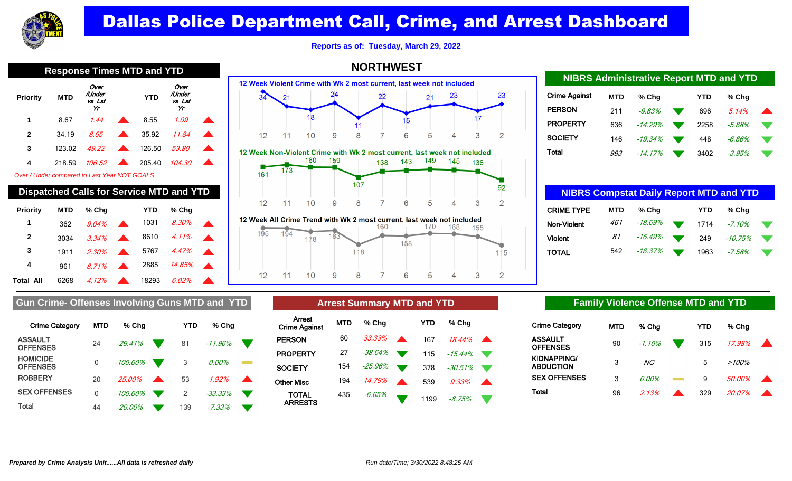

**Reports as of: Tuesday, March 29, 2022**

**NORTHWEST**

| <b>Response Times MTD and YTD</b>            |            |                                                 |  |            |                                |  |  |  |  |  |  |
|----------------------------------------------|------------|-------------------------------------------------|--|------------|--------------------------------|--|--|--|--|--|--|
| <b>Priority</b>                              | <b>MTD</b> | Over<br>/Under<br>vs Lst<br>Yr                  |  | <b>YTD</b> | Over<br>/Under<br>vs Lst<br>Yr |  |  |  |  |  |  |
| 1                                            | 8.67       | 1.44                                            |  | 8.55       | 1.09                           |  |  |  |  |  |  |
| $\mathbf{2}$                                 | 34.19      | 8.65                                            |  | 35.92      | 11.84                          |  |  |  |  |  |  |
| 3                                            | 123.02     | 49.22                                           |  | 126.50     | <i>53.80</i>                   |  |  |  |  |  |  |
| 4                                            | 218.59     | 106.52                                          |  | 205.40     | 104.30                         |  |  |  |  |  |  |
| Over / Under compared to Last Year NOT GOALS |            |                                                 |  |            |                                |  |  |  |  |  |  |
|                                              |            | <b>Dispatched Calls for Service MTD and YTD</b> |  |            |                                |  |  |  |  |  |  |
| Priority                                     | MTD        | % Chg                                           |  | YTD        | % Chg                          |  |  |  |  |  |  |
| 1                                            | 362        | 9.04%                                           |  | 1031       | 8.30%                          |  |  |  |  |  |  |
| $\mathbf{2}$                                 | 3034       | 3.34%                                           |  | 8610       | 4.11%                          |  |  |  |  |  |  |
| 3                                            |            |                                                 |  |            |                                |  |  |  |  |  |  |
|                                              | 1911       | 2.30%                                           |  | 5767       | 4.47%                          |  |  |  |  |  |  |



|     |    |   |    |     | Treewith Stand Hend Man Man Line and Councily Mot Moon Hot Monday |     |     |  |
|-----|----|---|----|-----|-------------------------------------------------------------------|-----|-----|--|
|     |    |   |    | 160 |                                                                   | 168 | 155 |  |
| '95 |    |   |    |     |                                                                   |     |     |  |
|     |    |   |    |     | 158                                                               |     |     |  |
|     |    |   | 18 |     |                                                                   |     |     |  |
|     |    |   |    |     |                                                                   |     |     |  |
|     |    |   |    |     |                                                                   |     |     |  |
| 12  | 10 | 9 |    |     | 6                                                                 |     |     |  |
|     |    |   |    |     |                                                                   |     |     |  |

| <b>NIBRS Administrative Report MTD and YTD</b> |            |           |      |           |  |
|------------------------------------------------|------------|-----------|------|-----------|--|
| <b>Crime Against</b>                           | <b>MTD</b> | % Cha     | YTD  | $%$ Chq   |  |
| <b>PERSON</b>                                  | 211        | $-9.83%$  | 696  | 5.14%     |  |
| <b>PROPERTY</b>                                | 636        | $-14.29%$ | 2258 | $-5.88\%$ |  |
| <b>SOCIETY</b>                                 | 146        | $-19.34%$ | 448  | $-6.86\%$ |  |
| Total                                          | 993        | -14.17%   | 3402 | -3.95%    |  |

| <b>NIBRS Compstat Daily Report MTD and YTD</b> |            |         |      |           |    |
|------------------------------------------------|------------|---------|------|-----------|----|
| <b>CRIME TYPE</b>                              | <b>MTD</b> | % Cha   | YTD  | % Cha     |    |
| <b>Non-Violent</b>                             | 461        | -18.69% | 1714 | $-7.10\%$ |    |
| <b>Violent</b>                                 | 81         | -16.49% | 249  | -10.75%   | v. |
| TOTAL                                          | 542        | -18.37% | 1963 | -7.58%    |    |

### Gun Crime- Offenses Involving Guns MTD and YTD **Arrest Summary MTD and YTD Family Violence Offense MTD and YTD**

Total All 6268 4.12% **18293 6.02%** 

| <b>Crime Category</b>              | <b>MTD</b> | % Chq       |                  | YTD | % Chq      |  |
|------------------------------------|------------|-------------|------------------|-----|------------|--|
| <b>ASSAULT</b><br><b>OFFENSES</b>  | 24         | $-29.41%$   |                  | 81  | $-11.96\%$ |  |
| <b>HOMICIDE</b><br><b>OFFENSES</b> | 0          | $-100.00\%$ |                  | 3   | 0.00%      |  |
| <b>ROBBERY</b>                     | 20         | 25,00%      | $\blacktriangle$ | 53  | 1.92%      |  |
| <b>SEX OFFENSES</b>                | 0          | $-100.00\%$ |                  | 2   | $-33.33%$  |  |
| Total                              | 44         | -20.00%     |                  | 139 | $-7.33\%$  |  |

|                                |            | <b>Arrest Summary MTD and YTD</b> |            |                 |  |
|--------------------------------|------------|-----------------------------------|------------|-----------------|--|
| Arrest<br><b>Crime Against</b> | <b>MTD</b> | % Cha                             | <b>YTD</b> | % Chq           |  |
| <b>PERSON</b>                  | 60 -       | $33.33\%$                         | 167        | $18.44\%$       |  |
| <b>PROPERTY</b>                | 27         | -38.64% `                         |            | $115 - 15.44\%$ |  |

435 -6.65% 1199 -8.75%

**SOCIETY** 154 -25.96% 378 -30.51% Other Misc 194 14.79% 639 9.33%

TOTAL ARRESTS

| <b>Crime Category</b>                  | <b>MTD</b> | % Chg     | YTD | % Cha    |  |
|----------------------------------------|------------|-----------|-----|----------|--|
| <b>ASSAULT</b><br><b>OFFENSES</b>      | 90         | $-1.10\%$ | 315 | 17.98%   |  |
| <b>KIDNAPPING/</b><br><b>ABDUCTION</b> | 3          | NC.       | 5   | $>100\%$ |  |
| <b>SEX OFFENSES</b>                    | 3          | 0.00%     | 9   | 50.00%   |  |
| Total                                  | 96         | 2.13%     | 329 | 20.07%   |  |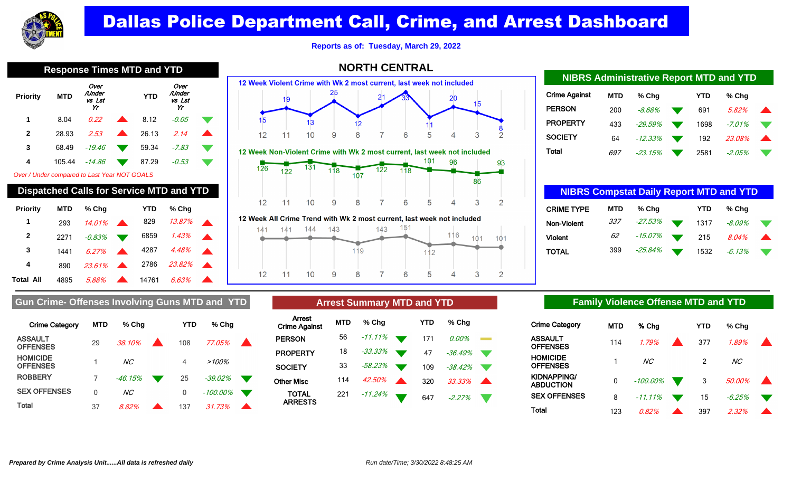

**Reports as of: Tuesday, March 29, 2022**

|                                              | <b>Response Times MTD and YTD</b> |                                |            |                                |  |
|----------------------------------------------|-----------------------------------|--------------------------------|------------|--------------------------------|--|
| <b>Priority</b>                              | <b>MTD</b>                        | Over<br>/Under<br>vs Lst<br>Yr | <b>YTD</b> | Over<br>/Under<br>vs Lst<br>Yr |  |
| 1                                            | 8.04                              | 0.22                           | 8.12       | -0.05                          |  |
| $\mathbf{2}$                                 | 28.93                             | 2.53                           | 26.13      | 2.14                           |  |
| 3                                            | 68.49                             | $-19.46$                       | 59.34      | -7.83                          |  |
| 4                                            | 105.44                            | -14.86                         | 87.29      | -0.53                          |  |
| Over / Under compared to Last Year NOT GOALS |                                   |                                |            |                                |  |
|                                              |                                   |                                |            |                                |  |

|           |            | <b>Dispatched Calls for Service MTD and YTD</b> |            |        |  |
|-----------|------------|-------------------------------------------------|------------|--------|--|
| Priority  | <b>MTD</b> | % Cha                                           | <b>YTD</b> | % Cha  |  |
| 1         | 293        | 14.01%                                          | 829        | 13.87% |  |
| 2         | 2271       | -0.83%                                          | 6859       | 1.43%  |  |
| 3         | 1441       | 6.27%                                           | 4287       | 4.48%  |  |
| 4         | 890        | $23.61\%$                                       | 2786       | 23.82% |  |
| Total All | 4895       | 5.88%                                           | 14761      | 6.63%  |  |



8

9

### **NORTH CENTRAL**

## Crime Against **MTD % Chg YTD % Chg PERSON** 200 -8.68% 691 5.82% **PROPERTY** 433 - 29.59% 1698 - 7.01% **SOCIETY** 64 - 12.33% 192 23.08% Total 697 -23.15% 2581 -2.05% **NIBRS Administrative Report MTD and YTD**

| <b>NIBRS Compstat Daily Report MTD and YTD</b> |            |         |            |           |  |
|------------------------------------------------|------------|---------|------------|-----------|--|
| <b>CRIME TYPE</b>                              | <b>MTD</b> | % Chq   | <b>YTD</b> | % Cha     |  |
| Non-Violent                                    | 337        | -27.53% | 1317       | $-8.09\%$ |  |
| <b>Violent</b>                                 | 62         | -15.07% | 215        | 8.04%     |  |
| TOTAL                                          | 399        | -25.84% | 1532       | $-6.13%$  |  |

### Gun Crime- Offenses Involving Guns MTD and YTD **Arrest Summary MTD and YTD Family Violence Offense MTD and YTD**

| <b>Crime Category</b>              | <b>MTD</b> | % Chq          | YTD | % Chq    |  |
|------------------------------------|------------|----------------|-----|----------|--|
| <b>ASSAULT</b><br><b>OFFENSES</b>  | 29         | 38.10%         | 108 | 77.05%   |  |
| <b>HOMICIDE</b><br><b>OFFENSES</b> |            | NC <sub></sub> | 4   | $>100\%$ |  |
| <b>ROBBERY</b>                     | 7          | $-46.15%$      | 25  | -39.02%  |  |
| <b>SEX OFFENSES</b>                | 0          | ΝC             | 0   | -100.00% |  |
| Total                              | 37         | 8.82%          | 137 | 31 73%   |  |

|                                       |            | <b>Arrest Summary MTD and YTD</b> |            |            |  |
|---------------------------------------|------------|-----------------------------------|------------|------------|--|
| <b>Arrest</b><br><b>Crime Against</b> | <b>MTD</b> | % Cha                             | <b>YTD</b> | % Cha      |  |
| <b>PERSON</b>                         | 56         | $-11.11\%$                        | 171        | $0.00\%$   |  |
| <b>PROPERTY</b>                       | 18         | -33.33%                           | 47         | $-36.49%$  |  |
| <b>SOCIETY</b>                        | 33         | -58.23%                           | 109        | -38.42%    |  |
| Other Misc                            | 114        | 42.50%                            | 320        | $.33.33\%$ |  |
|                                       |            |                                   |            |            |  |

 $\overline{7}$ 

6

<sup>221</sup> -11.24% <sup>647</sup> -2.27%

TOTAL ARRESTS

 $12$ 

 $11$ 

 $10$ 

| <b>Crime Category</b>    | MTD | % Cha          | YTD           | % Chq          |  |
|--------------------------|-----|----------------|---------------|----------------|--|
| ASSAULT<br>OFFENSES      | 114 | 1.79%          | 377           | 1.89%          |  |
| HOMICIDE<br>OFFENSES     |     | NC <sub></sub> | $\mathcal{P}$ | NC <sub></sub> |  |
| KIDNAPPING/<br>ABDUCTION | 0   | $-100.00\%$    | 3             | 50.00%         |  |
| <b>SEX OFFENSES</b>      | 8   | $-11.11\%$     | 15            | $-6.25%$       |  |
| Total                    | 123 | 0.82%          | 397           | 2.32%          |  |

5

 $\overline{4}$ 

3

 $\overline{2}$